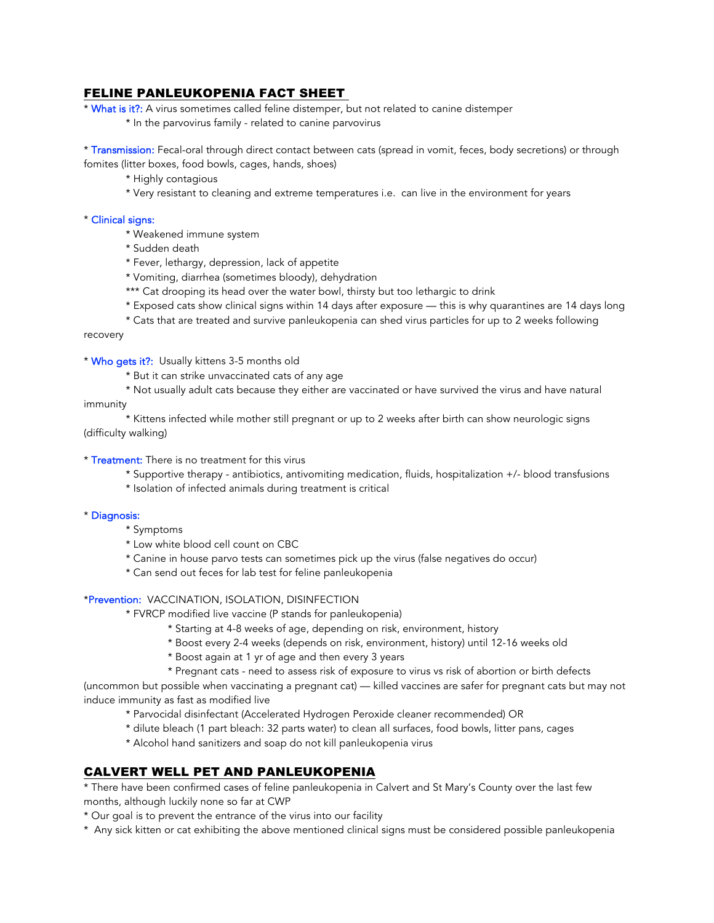## FELINE PANLEUKOPENIA FACT SHEET

\* What is it?: A virus sometimes called feline distemper, but not related to canine distemper

\* In the parvovirus family - related to canine parvovirus

\* Transmission: Fecal-oral through direct contact between cats (spread in vomit, feces, body secretions) or through fomites (litter boxes, food bowls, cages, hands, shoes)

- \* Highly contagious
- \* Very resistant to cleaning and extreme temperatures i.e. can live in the environment for years

### \* Clinical signs:

- \* Weakened immune system
- \* Sudden death
- \* Fever, lethargy, depression, lack of appetite
- \* Vomiting, diarrhea (sometimes bloody), dehydration
- \*\*\* Cat drooping its head over the water bowl, thirsty but too lethargic to drink
- \* Exposed cats show clinical signs within 14 days after exposure this is why quarantines are 14 days long
- \* Cats that are treated and survive panleukopenia can shed virus particles for up to 2 weeks following

#### recovery

\* Who gets it?: Usually kittens 3-5 months old

- \* But it can strike unvaccinated cats of any age
- \* Not usually adult cats because they either are vaccinated or have survived the virus and have natural immunity

\* Kittens infected while mother still pregnant or up to 2 weeks after birth can show neurologic signs (difficulty walking)

- \* Treatment: There is no treatment for this virus
	- \* Supportive therapy antibiotics, antivomiting medication, fluids, hospitalization +/- blood transfusions
	- \* Isolation of infected animals during treatment is critical

#### \* Diagnosis:

- \* Symptoms
- \* Low white blood cell count on CBC
- \* Canine in house parvo tests can sometimes pick up the virus (false negatives do occur)
- \* Can send out feces for lab test for feline panleukopenia

### \*Prevention: VACCINATION, ISOLATION, DISINFECTION

- \* FVRCP modified live vaccine (P stands for panleukopenia)
	- \* Starting at 4-8 weeks of age, depending on risk, environment, history
	- \* Boost every 2-4 weeks (depends on risk, environment, history) until 12-16 weeks old
	- \* Boost again at 1 yr of age and then every 3 years
	- \* Pregnant cats need to assess risk of exposure to virus vs risk of abortion or birth defects

(uncommon but possible when vaccinating a pregnant cat) — killed vaccines are safer for pregnant cats but may not induce immunity as fast as modified live

- \* Parvocidal disinfectant (Accelerated Hydrogen Peroxide cleaner recommended) OR
- \* dilute bleach (1 part bleach: 32 parts water) to clean all surfaces, food bowls, litter pans, cages
- \* Alcohol hand sanitizers and soap do not kill panleukopenia virus

# CALVERT WELL PET AND PANLEUKOPENIA

\* There have been confirmed cases of feline panleukopenia in Calvert and St Mary's County over the last few months, although luckily none so far at CWP

- \* Our goal is to prevent the entrance of the virus into our facility
- \* Any sick kitten or cat exhibiting the above mentioned clinical signs must be considered possible panleukopenia